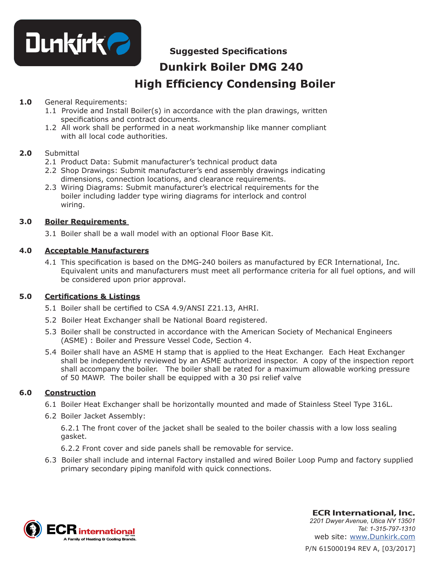

# **Suggested Specifications**

# **Dunkirk Boiler DMG 240 High Efficiency Condensing Boiler**

#### **1.0** General Requirements:

- 1.1 Provide and Install Boiler(s) in accordance with the plan drawings, written specifications and contract documents.
- 1.2 All work shall be performed in a neat workmanship like manner compliant with all local code authorities.

#### **2.0** Submittal

- 2.1 Product Data: Submit manufacturer's technical product data
- 2.2 Shop Drawings: Submit manufacturer's end assembly drawings indicating dimensions, connection locations, and clearance requirements.
- 2.3 Wiring Diagrams: Submit manufacturer's electrical requirements for the boiler including ladder type wiring diagrams for interlock and control wiring.

#### **3.0 Boiler Requirements**

3.1 Boiler shall be a wall model with an optional Floor Base Kit.

#### **4.0 Acceptable Manufacturers**

4.1 This specification is based on the DMG-240 boilers as manufactured by ECR International, Inc. Equivalent units and manufacturers must meet all performance criteria for all fuel options, and will be considered upon prior approval.

#### **5.0 Certifications & Listings**

- 5.1 Boiler shall be certified to CSA 4.9/ANSI Z21.13, AHRI.
- 5.2 Boiler Heat Exchanger shall be National Board registered.
- 5.3 Boiler shall be constructed in accordance with the American Society of Mechanical Engineers (ASME) : Boiler and Pressure Vessel Code, Section 4.
- 5.4 Boiler shall have an ASME H stamp that is applied to the Heat Exchanger. Each Heat Exchanger shall be independently reviewed by an ASME authorized inspector. A copy of the inspection report shall accompany the boiler. The boiler shall be rated for a maximum allowable working pressure of 50 MAWP. The boiler shall be equipped with a 30 psi relief valve

#### **6.0 Construction**

- 6.1 Boiler Heat Exchanger shall be horizontally mounted and made of Stainless Steel Type 316L.
- 6.2 Boiler Jacket Assembly:

6.2.1 The front cover of the jacket shall be sealed to the boiler chassis with a low loss sealing gasket.

- 6.2.2 Front cover and side panels shall be removable for service.
- 6.3 Boiler shall include and internal Factory installed and wired Boiler Loop Pump and factory supplied primary secondary piping manifold with quick connections.



P/N 615000194 REV A, [03/2017] **ECR International, Inc.** *2201 Dwyer Avenue, Utica NY 13501 Tel: 1-315-797-1310* web site: www.Dunkirk.com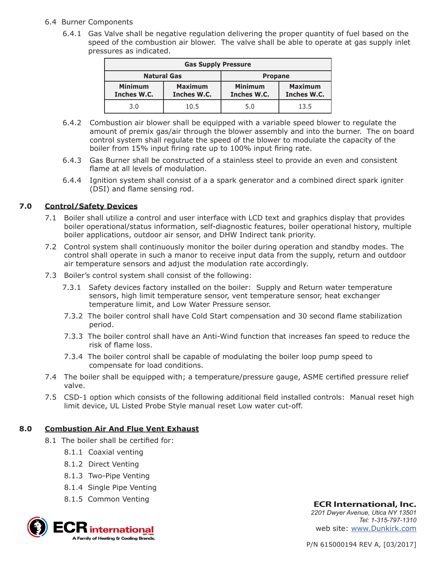#### 6.4 Burner Components

 6.4.1 Gas Valve shall be negative regulation delivering the proper quantity of fuel based on the speed of the combustion air blower. The valve shall be able to operate at gas supply inlet pressures as indicated.

| <b>Gas Supply Pressure</b>    |                               |                               |                               |
|-------------------------------|-------------------------------|-------------------------------|-------------------------------|
| <b>Natural Gas</b>            |                               | <b>Propane</b>                |                               |
| <b>Minimum</b><br>Inches W.C. | <b>Maximum</b><br>Inches W.C. | <b>Minimum</b><br>Inches W.C. | <b>Maximum</b><br>Inches W.C. |
| 3.0                           | 10.5                          | 5.0                           | 13.5                          |

- 6.4.2 Combustion air blower shall be equipped with a variable speed blower to regulate the amount of premix gas/air through the blower assembly and into the burner. The on board control system shall regulate the speed of the blower to modulate the capacity of the boiler from 15% input firing rate up to 100% input firing rate.
- 6.4.3 Gas Burner shall be constructed of a stainless steel to provide an even and consistent flame at all levels of modulation.
- 6.4.4 Ignition system shall consist of a a spark generator and a combined direct spark igniter (DSI) and flame sensing rod.

#### **7.0 Control/Safety Devices**

- 7.1 Boiler shall utilize a control and user interface with LCD text and graphics display that provides boiler operational/status information, self-diagnostic features, boiler operational history, multiple boiler applications, outdoor air sensor, and DHW Indirect tank priority.
- 7.2 Control system shall continuously monitor the boiler during operation and standby modes. The control shall operate in such a manor to receive input data from the supply, return and outdoor air temperature sensors and adjust the modulation rate accordingly.
- 7.3 Boiler's control system shall consist of the following:
	- 7.3.1 Safety devices factory installed on the boiler: Supply and Return water temperature sensors, high limit temperature sensor, vent temperature sensor, heat exchanger temperature limit, and Low Water Pressure sensor.
	- 7.3.2 The boiler control shall have Cold Start compensation and 30 second flame stabilization period.
	- 7.3.3 The boiler control shall have an Anti-Wind function that increases fan speed to reduce the risk of flame loss.
	- 7.3.4 The boiler control shall be capable of modulating the boiler loop pump speed to compensate for load conditions.
- 7.4 The boiler shall be equipped with; a temperature/pressure gauge, ASME certified pressure relief valve.
- 7.5 CSD-1 option which consists of the following additional field installed controls: Manual reset high limit device, UL Listed Probe Style manual reset Low water cut-off.

#### **8.0 Combustion Air And Flue Vent Exhaust**

- 8.1 The boiler shall be certified for:
	- 8.1.1 Coaxial venting
	- 8.1.2 Direct Venting
	- 8.1.3 Two-Pipe Venting
	- 8.1.4 Single Pipe Venting
	- 8.1.5 Common Venting



**ECR International, Inc.** *2201 Dwyer Avenue, Utica NY 13501 Tel: 1-315-797-1310* web site: www.Dunkirk.com

P/N 615000194 REV A, [03/2017]